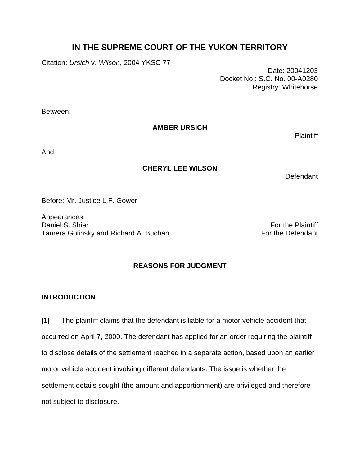# **IN THE SUPREME COURT OF THE YUKON TERRITORY**

Citation: *Ursich* v. *Wilson*, 2004 YKSC 77

 Date: 20041203 Docket No.: S.C. No. 00-A0280 Registry: Whitehorse

Between:

**AMBER URSICH** 

**Plaintiff** 

And

## **CHERYL LEE WILSON**

Defendant

Before: Mr. Justice L.F. Gower

Appearances: Daniel S. Shier For the Plaintiff Control of the Plaintiff Control of the Plaintiff Control of the Plaintiff Control of the Plaintiff Control of the Plaintiff Control of the Plaintiff Control of the Plaintiff Control of th Tamera Golinsky and Richard A. Buchan For the Defendant

## **REASONS FOR JUDGMENT**

## **INTRODUCTION**

[1] The plaintiff claims that the defendant is liable for a motor vehicle accident that occurred on April 7, 2000. The defendant has applied for an order requiring the plaintiff to disclose details of the settlement reached in a separate action, based upon an earlier motor vehicle accident involving different defendants. The issue is whether the settlement details sought (the amount and apportionment) are privileged and therefore not subject to disclosure.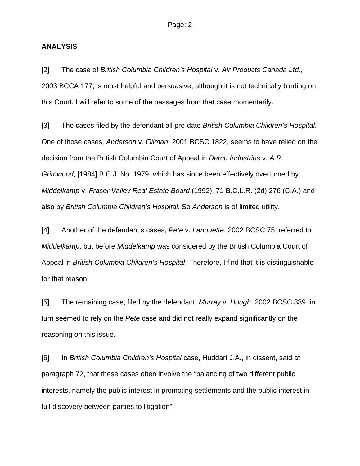#### **ANALYSIS**

[2] The case of *British Columbia Children's Hospital* v. *Air Products Canada Ltd.*, 2003 BCCA 177, is most helpful and persuasive, although it is not technically binding on this Court. I will refer to some of the passages from that case momentarily.

[3] The cases filed by the defendant all pre-date *British Columbia Children's Hospital*. One of those cases, *Anderson* v. *Gilman*, 2001 BCSC 1822, seems to have relied on the decision from the British Columbia Court of Appeal in *Derco Industries* v. *A.R. Grimwood*, [1984] B.C.J. No. 1979, which has since been effectively overturned by *Middelkamp* v. *Fraser Valley Real Estate Board* (1992), 71 B.C.L.R. (2d) 276 (C.A.) and also by *British Columbia Children's Hospital*. So *Anderson* is of limited utility.

[4] Another of the defendant's cases, *Pete* v. *Lanouette*, 2002 BCSC 75, referred to *Middelkamp*, but before *Middelkamp* was considered by the British Columbia Court of Appeal in *British Columbia Children's Hospital*. Therefore, I find that it is distinguishable for that reason.

[5] The remaining case, filed by the defendant, *Murray* v. *Hough*, 2002 BCSC 339, in turn seemed to rely on the *Pete* case and did not really expand significantly on the reasoning on this issue.

[6] In *British Columbia Children's Hospital* case, Huddart J.A., in dissent, said at paragraph 72, that these cases often involve the "balancing of two different public interests, namely the public interest in promoting settlements and the public interest in full discovery between parties to litigation".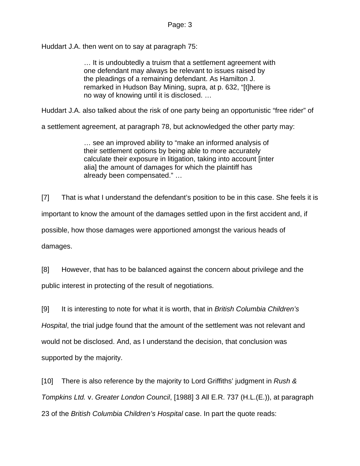Huddart J.A. then went on to say at paragraph 75:

… It is undoubtedly a truism that a settlement agreement with one defendant may always be relevant to issues raised by the pleadings of a remaining defendant. As Hamilton J. remarked in Hudson Bay Mining, supra, at p. 632, "[t]here is no way of knowing until it is disclosed. …

Huddart J.A. also talked about the risk of one party being an opportunistic "free rider" of

a settlement agreement, at paragraph 78, but acknowledged the other party may:

… see an improved ability to "make an informed analysis of their settlement options by being able to more accurately calculate their exposure in litigation, taking into account [inter alia] the amount of damages for which the plaintiff has already been compensated." …

[7] That is what I understand the defendant's position to be in this case. She feels it is important to know the amount of the damages settled upon in the first accident and, if possible, how those damages were apportioned amongst the various heads of damages.

[8] However, that has to be balanced against the concern about privilege and the public interest in protecting of the result of negotiations.

[9] It is interesting to note for what it is worth, that in *British Columbia Children's Hospital*, the trial judge found that the amount of the settlement was not relevant and would not be disclosed. And, as I understand the decision, that conclusion was supported by the majority.

[10] There is also reference by the majority to Lord Griffiths' judgment in *Rush & Tompkins Ltd.* v. *Greater London Council*, [1988] 3 All E.R. 737 (H.L.(E.)), at paragraph 23 of the *British Columbia Children's Hospital* case. In part the quote reads: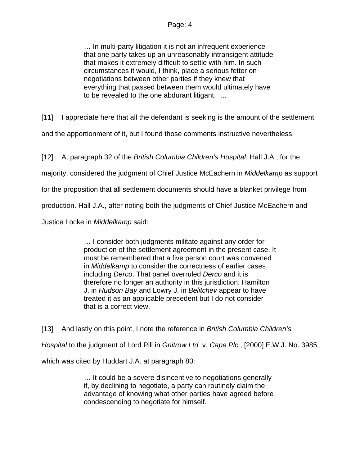… In multi-party litigation it is not an infrequent experience that one party takes up an unreasonably intransigent attitude that makes it extremely difficult to settle with him. In such circumstances it would, I think, place a serious fetter on negotiations between other parties if they knew that everything that passed between them would ultimately have to be revealed to the one abdurant litigant. …

[11] I appreciate here that all the defendant is seeking is the amount of the settlement and the apportionment of it, but I found those comments instructive nevertheless.

[12] At paragraph 32 of the *British Columbia Children's Hospital*, Hall J.A., for the

majority, considered the judgment of Chief Justice McEachern in *Middelkamp* as support

for the proposition that all settlement documents should have a blanket privilege from

production. Hall J.A., after noting both the judgments of Chief Justice McEachern and

Justice Locke in *Middelkamp* said:

… I consider both judgments militate against any order for production of the settlement agreement in the present case. It must be remembered that a five person court was convened in *Middelkamp* to consider the correctness of earlier cases including *Derco*. That panel overruled *Derco* and it is therefore no longer an authority in this jurisdiction. Hamilton J. in *Hudson Bay* and Lowry J. in *Belitchev* appear to have treated it as an applicable precedent but I do not consider that is a correct view.

[13] And lastly on this point, I note the reference in *British Columbia Children's Hospital* to the judgment of Lord Pill in *Gnitrow Ltd.* v. *Cape Plc.*, [2000] E.W.J. No. 3985, which was cited by Huddart J.A. at paragraph 80:

> … It could be a severe disincentive to negotiations generally if, by declining to negotiate, a party can routinely claim the advantage of knowing what other parties have agreed before condescending to negotiate for himself.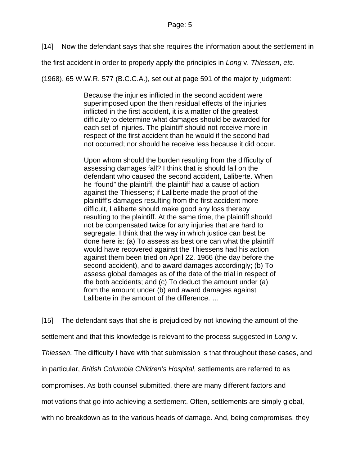[14] Now the defendant says that she requires the information about the settlement in

the first accident in order to properly apply the principles in *Long* v. *Thiessen*, *etc*.

(1968), 65 W.W.R. 577 (B.C.C.A.), set out at page 591 of the majority judgment:

Because the injuries inflicted in the second accident were superimposed upon the then residual effects of the injuries inflicted in the first accident, it is a matter of the greatest difficulty to determine what damages should be awarded for each set of injuries. The plaintiff should not receive more in respect of the first accident than he would if the second had not occurred; nor should he receive less because it did occur.

Upon whom should the burden resulting from the difficulty of assessing damages fall? I think that is should fall on the defendant who caused the second accident, Laliberte. When he "found" the plaintiff, the plaintiff had a cause of action against the Thiessens; if Laliberte made the proof of the plaintiff's damages resulting from the first accident more difficult, Laliberte should make good any loss thereby resulting to the plaintiff. At the same time, the plaintiff should not be compensated twice for any injuries that are hard to segregate. I think that the way in which justice can best be done here is: (a) To assess as best one can what the plaintiff would have recovered against the Thiessens had his action against them been tried on April 22, 1966 (the day before the second accident), and to award damages accordingly; (b) To assess global damages as of the date of the trial in respect of the both accidents; and (c) To deduct the amount under (a) from the amount under (b) and award damages against Laliberte in the amount of the difference. …

[15] The defendant says that she is prejudiced by not knowing the amount of the settlement and that this knowledge is relevant to the process suggested in *Long* v. *Thiessen*. The difficulty I have with that submission is that throughout these cases, and in particular, *British Columbia Children's Hospital*, settlements are referred to as compromises. As both counsel submitted, there are many different factors and motivations that go into achieving a settlement. Often, settlements are simply global,

with no breakdown as to the various heads of damage. And, being compromises, they